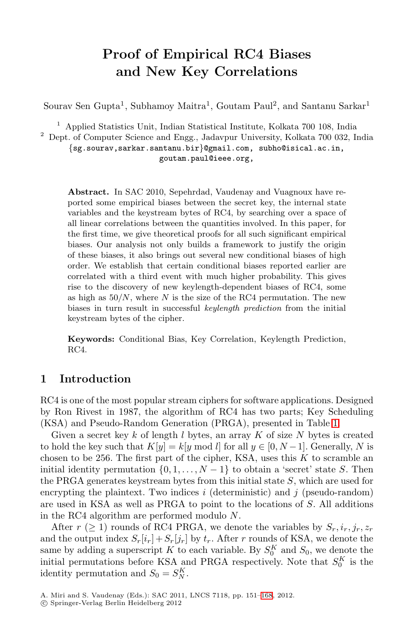# **Proof of Empirical RC4 Biases and New Key Correlations**

Sourav Sen Gupta<sup>1</sup>, Subhamoy Maitra<sup>1</sup>, Goutam Paul<sup>2</sup>, and Santanu Sarkar<sup>1</sup>

<sup>1</sup> Applied Statistics Unit, Indian Statistical Institute, Kolkata 700 108, India

<sup>2</sup> Dept. of Computer Science and Engg., Jadavpur University, Kolkata 700 032, India

{sg.sourav,sarkar.santanu.bir}@gmail.com, subho@isical.ac.in, goutam.paul@ieee.org,

**Abstract.** In SAC 2010, Sepehrdad, Vaudenay and Vuagnoux have reported some empirical biases between the secret key, the internal state variables and the keystream bytes of RC4, by searching over a space of all linear correlations between the quantities involved. In this paper, for the first time, we give theoretical proofs for all such significant empirical biases. Our analysis not only builds a framework to justify the origin of these biases, it also brings out several new conditional biases of high order. We establish that certain conditional biases reported earlier are correlated with a third event with much higher probability. This gives rise to the discovery of new keylength-dependent biases of RC4, some as high as  $50/N$ , where N is the size of the RC4 permutation. The new biases in turn result in successful *keylength prediction* from the initial keystream bytes of the cipher.

**Keywords:** Conditional Bias, Key Correlatio[n,](#page-1-0) Keylength Prediction, RC4.

## **1 Introduction**

RC4 is one of the most popular stream ciphers for software applications. Designed by Ron Rivest in 1987, the algorithm of RC4 has two parts; Key Scheduling (KSA) and Pseudo-Random Generation (PRGA), presented in Table 1.

Given a secret key  $k$  of length  $l$  bytes, an array  $K$  of size  $N$  bytes is created to hold the key such that  $K[y] = k[y \mod l]$  for all  $y \in [0, N-1]$ . Generally, N is chosen to be 256. The first part of the cipher, KSA, uses this  $K$  to scramble an initial identity permutation  $\{0, 1, \ldots, N-1\}$  to obtain a 'secret' state S. Then the PRGA generates keystream bytes from this initial state S, which are used for encrypting the plaintext. Two indices i (deterministic) and j (pseudo-random) are used in KSA as well as PRG[A to](#page-17-0) point to the locations of S. All additions in the RC4 algorithm are performed modulo N.

After  $r \geq 1$ ) rounds of RC4 PRGA, we denote the variables by  $S_r, i_r, j_r, z_r$ and the output index  $S_r[i_r] + S_r[j_r]$  by  $t_r$ . After r rounds of KSA, we denote the same by adding a superscript K to each variable. By  $S_0^K$  and  $S_0$ , we denote the initial permutations before KSA and PRGA respectively. Note that  $S_0^K$  is the identity permutation and  $S_0 = S_N^K$ .

A. Miri and S. Vaudenay (Eds.): SAC 2011, LNCS 7118, pp. 151–168, 2012.

-c Springer-Verlag Berlin Heidelberg 2012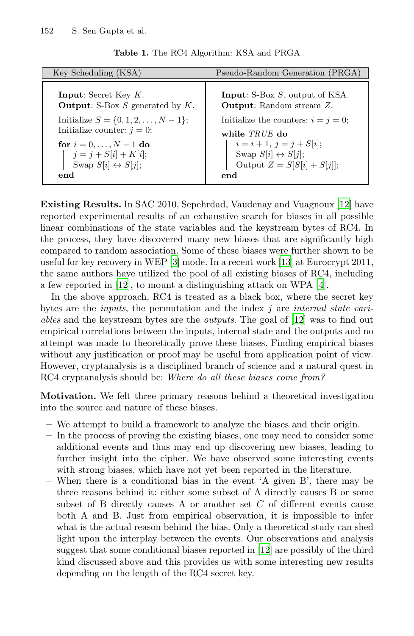<span id="page-1-0"></span>**Table 1.** The RC4 Algorithm: KSA and PRGA

| Key Scheduling (KSA)                      | Pseudo-Random Generation (PRGA)          |  |  |
|-------------------------------------------|------------------------------------------|--|--|
| <b>Input:</b> Secret Key $K$ .            | <b>Input:</b> S-Box $S$ , output of KSA. |  |  |
| <b>Output:</b> S-Box S generated by $K$ . | <b>Output:</b> Random stream Z.          |  |  |
| Initialize $S = \{0, 1, 2, , N - 1\};$    | Initialize the counters: $i = j = 0$ ;   |  |  |
| Initialize counter: $i = 0$ ;             | while TRUE do                            |  |  |
| for $i = 0, , N - 1$ do                   | $i = i + 1, j = j + S[i];$               |  |  |
| $j = j + S[i] + K[i];$                    | Swap $S[i] \leftrightarrow S[j];$        |  |  |
| Swap $S[i] \leftrightarrow S[j];$         | Output $Z = S[S[i] + S[j]]$ ;            |  |  |
| end                                       | end                                      |  |  |

**[Ex](#page-17-1)isting Results.** In SAC 2010, Sepehrdad, V[au](#page-17-3)denay and Vuagnoux [12] have reported experimental results of an exhaustive search for biases in all possible linear combinations of the state variable[s a](#page-17-1)nd the keystream bytes of RC4. In the process, they have discovered many new biases that are significantly high compared to random association. Some of these biases were further shown to be useful for key recovery in WEP [3] mode. In a recent work [13] at Eurocrypt 2011, the same authors have utilized the pool of all existing biases of RC4, including a few reported in [12], to mount a distinguishing attack on WPA [4].

In the above approach, RC4 is treated as a black box, where the secret key bytes are the *inputs*, the permutation and the index j are *internal state variables* and the keystream bytes are the *outputs*. The goal of [12] was to find out empirical correlations between the inputs, internal state and the outputs and no attempt was made to theoretically prove these biases. Finding empirical biases without any justification or proof may be useful from application point of view. However, cryptanalysis is a disciplined branch of science and a natural quest in RC4 cryptanalysis should be: *Where do all these biases come from?*

**Motivation.** We felt three primary reasons behind a theoretical investigation into the source and nature of these biases.

- **–** We attempt to build a framework to analyze the biases and their origin.
- **–** In the process of proving the existing biases, one may need to consider some additional events and thus may end up discovering new biases, leading to further insight into the ciph[er.](#page-17-1) We have observed some interesting events with strong biases, which have not yet been reported in the literature.
- When there is a conditional bias in the event 'A given B', there may be three reasons behind it: either some subset of A directly causes B or some subset of B directly causes A or another set  $C$  of different events cause both A and B. Just from empirical observation, it is impossible to infer what is the actual reason behind the bias. Only a theoretical study can shed light upon the interplay between the events. Our observations and analysis suggest that some conditional biases reported in [12] are possibly of the third kind discussed above and this provides us with some interesting new results depending on the length of the RC4 secret key.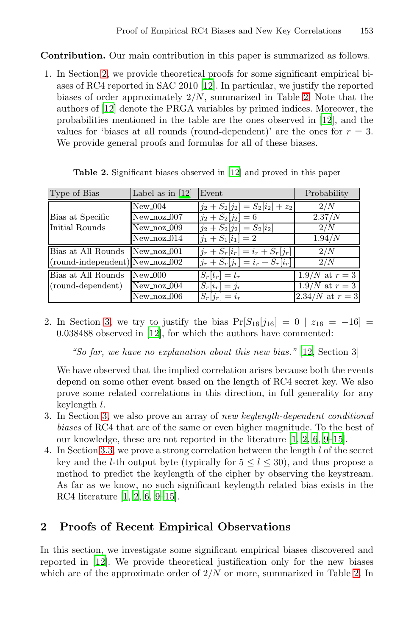<span id="page-2-0"></span>**Contribution.** Our main contribution in this paper is summarized as follows.

1. In Section 2, we provide theoretical proofs for some significant empirical biases of RC4 reported i[n](#page-17-1) [S](#page-17-1)AC 2010 [12]. In particular, we justify the reported biases of order approximately  $2/N$ , summarized in Table 2. Note that the authors of [\[12](#page-17-1)] denote the PRGA variables by primed indices. Moreover, the probabilities mentioned in the table are the ones observed in [12], and the values for 'biases at all rounds (round-dependent)' are the ones for  $r = 3$ . We provide general proofs and formulas for all of these biases.

| Type of Bias                      | Label as in $[12]$ | Event                                         | Probability         |
|-----------------------------------|--------------------|-----------------------------------------------|---------------------|
|                                   | $New_004$          | $j_2 + S_2[j_2] = S_2[i_2] + z_2$             | 2/N                 |
| Bias at Specific                  | New noz 007        | $j_2 + S_2[j_2] = 6$                          | 2.37/N              |
| Initial Rounds                    | New noz 009        | $j_2 + S_2[j_2] = S_2[i_2]$                   | 2/N                 |
|                                   | $New-noz_014$      | $j_1 + S_1[i_1] = 2$                          | 1.94/N              |
| Bias at All Rounds New noz 001    |                    | $j_r + S_r[i_r] = i_r + S_r[j_r]$             | 2/N                 |
| $(round-independent) New.noz_002$ |                    | $j_r + \bar{S}_r[j_r] = i_r + \bar{S}_r[i_r]$ | 2/N                 |
| Bias at All Rounds                | New 000            | $S_r[t_r] = t_r$                              | $1.9/N$ at $r = 3$  |
| (round-dependent)                 | New noz 004        | $S_r[i_r] = j_r$                              | $1.9/N$ at $r = 3$  |
|                                   | New noz 006        | $S_r[j_r] = i_r$                              | $2.34/N$ at $r = 3$ |

**Table 2.** Significant biases observed in [12] and proved in this paper

2. In Section 3, we try to justify the bias  $Pr[S_{16}[j_{16}] = 0 | z_{16} = -16] =$ 0.038488 observed in [12], for which the authors have commented:

*"So far, we have no explanation [ab](#page-17-4)[ou](#page-17-5)t [th](#page-17-6)[is](#page-17-7) [new](#page-17-8) bias."* [12, Section 3]

We have observed that the implied correlation arises because both the events depend on some other event based on the length of RC4 secret key. We also prove some related correlations in this direction, in full generality for any [k](#page-17-5)[ey](#page-17-6)l[en](#page-17-7)[gth](#page-17-8) l.

- [3](#page-17-4). In Section 3, we also prove an array of *new keylength-dependent conditional biases* of RC4 that are of the same or even higher magnitude. To the best of our knowledge, these are not reported in the literature [1, 2, 6, 9–15].
- 4. In Section 3.3, we prove a strong correlation between the length l of the secret key and the *l*-th output byte (typically for  $5 \le l \le 30$ ), and thus propose a method to predict the keylength of the cipher by observing the keystream. As far as we know, no such significant keylength r[ela](#page-2-0)ted bias exists in the RC4 literature [1, 2, 6, 9–15].

# **2 Proofs of Recent Empirical Observations**

In this section, we investigate some significant empirical biases discovered and reported in [12]. We provide theoretical justification only for the new biases which are of the approximate order of  $2/N$  or more, summarized in Table 2. In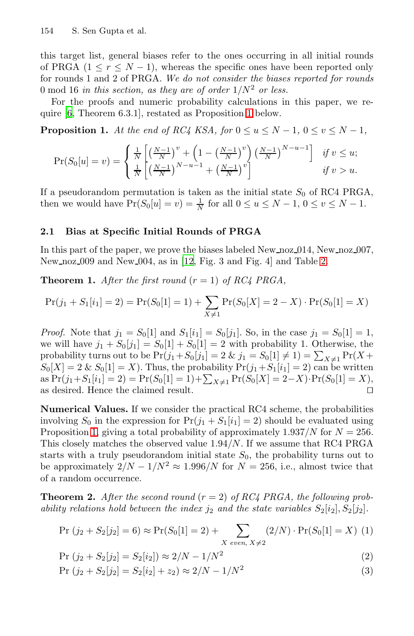<span id="page-3-1"></span>this target list, general biases refer to the ones occurring in all initial rounds of PRGA  $(1 \le r \le N - 1)$ , whereas the specific ones have been reported only for rounds 1 and 2 of PRGA. *We do not consider the biases reported for rounds* 0 mod 16 *in this section, as they are of order*  $1/N^2$  *or less.* 

For the proofs and numeric probability calculations in this paper, we require [6, Theorem 6.3.1], restated as Proposition 1 below.

**Proposition 1.** At the end of RC4 KSA, for  $0 \le u \le N - 1$ ,  $0 \le v \le N - 1$ ,

$$
\Pr(S_0[u] = v) = \begin{cases} \frac{1}{N} \left[ \left( \frac{N-1}{N} \right)^v + \left( 1 - \left( \frac{N-1}{N} \right)^v \right) \left( \frac{N-1}{N} \right)^{N-u-1} \right] & \text{if } v \le u; \\ \frac{1}{N} \left[ \left( \frac{N-1}{N} \right)^{N-u-1} + \left( \frac{N-1}{N} \right)^v \right] & \text{if } v > u. \end{cases}
$$

If a pseudorandom permutation is taken as the initial state  $S_0$  of RC4 PRGA, then we would have  $Pr(S_0[u] = v) = \frac{1}{N}$  for all  $0 \le u \le N - 1$ ,  $0 \le v \le N - 1$ .

### **2.1 Bias at Specific Initial Rounds of PRGA**

In this part of the paper, we prove the biases labeled New noz 014, New noz 007, New noz 009 and New 004, as in [12, Fig. 3 and Fig. 4] and Table 2.

**Theorem 1.** *After the first round*  $(r = 1)$  *of RC4 PRGA,* 

$$
Pr(j_1 + S_1[i_1] = 2) = Pr(S_0[1] = 1) + \sum_{X \neq 1} Pr(S_0[X] = 2 - X) \cdot Pr(S_0[1] = X)
$$

<span id="page-3-0"></span>*Proof.* Note that  $j_1 = S_0[1]$  and  $S_1[i_1] = S_0[j_1]$ . So, in the case  $j_1 = S_0[1] = 1$ , we will have  $j_1 + S_0[j_1] = S_0[1] + S_0[1] = 2$  with probability 1. Otherwise, the probability turns out to be  $Pr(j_1 + S_0[j_1] = 2 \& j_1 = S_0[1] \neq 1) = \sum_{X \neq 1} Pr(X +$  $S_0[X]=2 \& S_0[1]=X$ ). Thus, the probability  $Pr(j_1+S_1[i_1]=2)$  can be written as  $Pr(j_1 + S_1[i_1] = 2) = Pr(S_0[1] = 1) + \sum_{X \neq 1} Pr(S_0[X] = 2 - X) \cdot Pr(S_0[1] = X)$ as desired. Hence the claimed result.  $\hfill\Box$ 

**Numerical Values.** If we consider the practical RC4 scheme, the probabilities involving  $S_0$  in the expression for  $Pr(j_1 + S_1[i_1] = 2)$  should be evaluated using Proposition 1, giving a total probability of approximately  $1.937/N$  for  $N = 256$ . This closely matches the observed value  $1.94/N$ . If we assume that RC4 PRGA starts with a truly pseudorandom initial state  $S_0$ , the probability turns out to be approximately  $2/N - 1/N^2 \approx 1.996/N$  for  $N = 256$ , i.e., almost twice that of a random occurrence.

**Theorem 2.** After the second round  $(r = 2)$  of RC4 PRGA, the following prob*ability relations hold between the index*  $j_2$  *and the state variables*  $S_2[i_2], S_2[j_2]$ *.* 

$$
Pr(j_2 + S_2[j_2] = 6) \approx Pr(S_0[1] = 2) + \sum_{X \text{ even, } X \neq 2} (2/N) \cdot Pr(S_0[1] = X)
$$
 (1)

$$
Pr(j_2 + S_2[j_2] = S_2[i_2]) \approx 2/N - 1/N^2
$$
\n(2)

$$
Pr(j_2 + S_2[j_2] = S_2[i_2] + z_2) \approx 2/N - 1/N^2
$$
\n(3)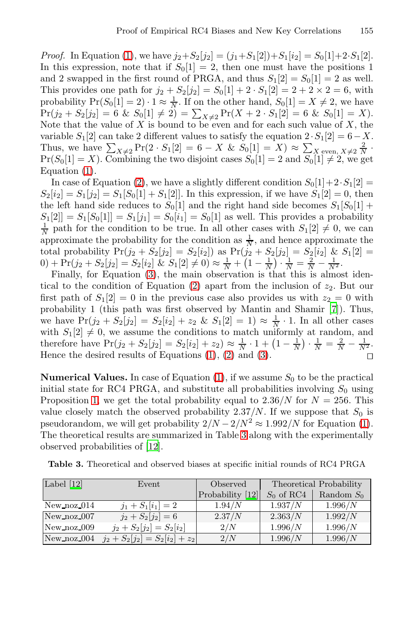*Proof.* In Equation (1), we have  $j_2 + S_2[j_2] = (j_1 + S_1[2]) + S_1[i_2] = S_0[1] + 2 \cdot S_1[2]$ . In this expression, note that if  $S_0[1] = 2$ , then one must have the positions 1 and 2 swapped in the first round of PRGA, and thus  $S_1[2] = S_0[1] = 2$  as well. Thi[s p](#page-3-0)rovides one path for  $j_2 + S_2[j_2] = S_0[1] + 2 \cdot S_1[2] = 2 + 2 \times 2 = 6$ , with probability  $Pr(S_0[1] = 2) \cdot 1 \approx \frac{1}{N}$ . If on the other hand,  $S_0[1] = X \neq 2$ , we have  $Pr(j_2 + S_2[j_2] = 6 \& S_0[1] \neq 2) = \sum_{X \neq 2} Pr(X + 2 \cdot S_1[2] = 6 \& S_0[1] = X)$ .<br>Note that the value of X is bound to be even and for each such value of X, the variable  $S_1[2]$  can take 2 different values to satisfy the equation  $2 \cdot S_1[2] = 6 - X$ . Thus, we have  $\sum_{X\neq 2} \Pr(2\cdot S_1[2] = 6 - X \& S_0[1] = X) \approx \sum_{X \text{ even, } X\neq 2} \frac{2}{N}$  $Pr(S_0[1] = X)$ . Combining the two disjoint cases  $S_0[1] = 2$  and  $S_0[1] \neq 2$ , we get Equation (1).

In c[as](#page-3-0)e of Equation (2), we have a slightly different condition  $S_0[1]+2\cdot S_1[2] =$  $S_2[i_2] = S_1[j_2] = S_1[S_0[1] + S_1[2]]$  $S_2[i_2] = S_1[j_2] = S_1[S_0[1] + S_1[2]]$ . In this expression, if we have  $S_1[2] = 0$ , then the left hand side reduces to  $S_0[1]$  and the right hand side becomes  $S_1[S_0[1] +$  $S_1[2] = S_1[S_0[1]] = S_1[j_1] = S_0[i_1] = S_0[1]$  as wel[l.](#page-17-9) This provides a probability  $\frac{1}{N}$  path for the condition to be true. In all other cases with  $S_1[2] \neq 0$ , we can approximate the probability for the condition as  $\frac{1}{N}$ , and hence approximate the total probability  $Pr(j_2 + S_2[j_2] = S_2[i_2])$  as  $Pr(j_2 + S_2[j_2] = S_2[i_2] \& S_1[2] =$ 0) + Pr(j<sub>2</sub> + [S](#page-3-0)<sub>[2](#page-3-0)</sub>[j<sub>2</sub>] = S<sub>2</sub>[i<sub>2</sub>] & S<sub>1</sub>[\[2\]](#page-3-0)  $\neq$  0)  $\approx \frac{1}{N} + (1 - \frac{1}{N}) \cdot \frac{1}{N} = \frac{2}{N} - \frac{1}{N^2}$ .

<span id="page-4-0"></span>Finally, for Equation (3), the main observation is that this is almost identical to the condition [of](#page-3-0) Equation (2) apart from the inclusion of  $z_2$ . But our first path of  $S_1[2] = 0$  in the previous case also provides us with  $z_2 = 0$  with probability 1 (this path was first observed by Mantin and Shamir [7]). Thus, we have  $Pr(j_2 + S_2[j_2] = S_2[i_2] + z_2 \& S_1[2] = 1) \approx \frac{1}{N} \cdot 1$ . In all other cases with  $S_1[2] \neq 0$ , we assume the conditions to match unif[orm](#page-3-0)ly at random, and therefore have  $Pr(j_2 + S_2[j_2] = S_2[i_2] + z_2) \approx \frac{1}{N} \cdot 1 + \left(1 - \frac{1}{N}\right) \cdot \frac{1}{N} = \frac{2}{N} - \frac{1}{N^2}$  $Pr(j_2 + S_2[j_2] = S_2[i_2] + z_2) \approx \frac{1}{N} \cdot 1 + \left(1 - \frac{1}{N}\right) \cdot \frac{1}{N} = \frac{2}{N} - \frac{1}{N^2}$  $Pr(j_2 + S_2[j_2] = S_2[i_2] + z_2) \approx \frac{1}{N} \cdot 1 + \left(1 - \frac{1}{N}\right) \cdot \frac{1}{N} = \frac{2}{N} - \frac{1}{N^2}$ . Hence [the](#page-17-1) desired results of Equations (1), (2) and (3).

**Numerical Values.** In case of Equation  $(1)$ , if we assume  $S_0$  to be the practical initial state for RC4 PRGA, and substitute all probabilities involving  $S_0$  using Proposition 1, we get the total probability equal to  $2.36/N$  for  $N = 256$ . This value closely match the obser[ved](#page-17-1) probability  $2.37/N$ . If we suppose that  $S_0$  is pseudorandom, we will get probability  $2/N - 2/N^2 \approx 1.992/N$  for Equation (1). The theoretical results are summarized in Table 3 along with the experimentally observed probabilities of [12].

| Label $[12]$   | Event                             | Observed         | Theoretical Probability |              |
|----------------|-----------------------------------|------------------|-------------------------|--------------|
|                |                                   | Probability [12] | $S_0$ of RC4            | Random $S_0$ |
| New $\log 014$ | $j_1 + S_1[i_1] = 2$              | 1.94/N           | 1.937/N                 | 1.996/N      |
| New noz 007    | $j_2 + S_2[j_2] = 6$              | 2.37/N           | 2.363/N                 | 1.992/N      |
| New noz 009    | $j_2 + S_2[j_2] = S_2[i_2]$       | 2/N              | 1.996/N                 | 1.996/N      |
| New noz 004    | $j_2 + S_2[j_2] = S_2[i_2] + z_2$ | 2/N              | 1.996/N                 | 1.996/N      |

**Table 3.** Theoretical and observed biases at specific initial rounds of RC4 PRGA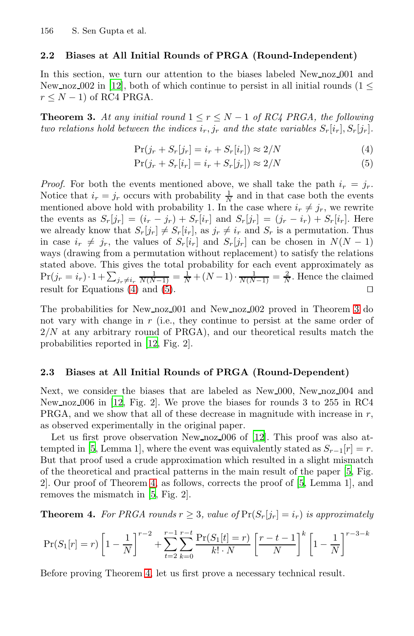### <span id="page-5-1"></span><span id="page-5-0"></span>**2.2 Biases at All Initial Rounds of PRGA (Round-Independent)**

In this section, we turn our attention to the biases labeled New noz 001 and New noz  $002$  in [12], both of which continue to persist in all initial rounds (1  $\leq$  $r \leq N - 1$ ) of RC4 PRGA.

**Theorem 3.** At any initial round  $1 \leq r \leq N-1$  of RC4 PRGA, the following *two relations hold between the indices*  $i_r$ ,  $j_r$  *and the state variables*  $S_r[i_r], S_r[j_r]$ *.* 

$$
\Pr(j_r + S_r[j_r] = i_r + S_r[i_r]) \approx 2/N \tag{4}
$$

$$
\Pr(j_r + S_r[i_r] = i_r + S_r[j_r]) \approx 2/N \tag{5}
$$

*Proof.* For both the events mentioned above, we shall take the path  $i_r = j_r$ . N[oti](#page-5-0)ce th[at](#page-5-0)  $i_r = j_r$  occurs with probability  $\frac{1}{N}$  and in that case both the events mentioned above hold with probability 1. In the case where  $i_r \neq j_r$ , we rewrite the events as  $S_r[j_r]=(i_r - j_r) + S_r[i_r]$  $S_r[j_r]=(i_r - j_r) + S_r[i_r]$  $S_r[j_r]=(i_r - j_r) + S_r[i_r]$  and  $S_r[j_r]=(j_r - i_r) + S_r[i_r]$ . Here we already know that  $S_r[j_r] \neq S_r[i_r]$ , as  $j_r \neq i_r$  and  $S_r$  is a permutation. Thus in case  $i_r \neq j_r$ , the values of  $S_r[i_r]$  and  $S_r[j_r]$  can be chosen in  $N(N-1)$ ways ([dra](#page-17-1)wing from a permutation without replacement) to satisfy the relations stated above. This gives the total probability for each event approximately as  $Pr(j_r = i_r) \cdot 1 + \sum_{j_r \neq i_r} \frac{1}{N(N-1)} = \frac{1}{N} + (N-1) \cdot \frac{1}{N(N-1)} = \frac{2}{N}$ . Hence the claimed result for Equations (4) and (5).

<span id="page-5-2"></span>[T](#page-17-1)he probabilities for New noz 001 and New noz 002 proved in Theorem 3 do not vary with change in  $r$  (i.e., they continue to persist at the same order of  $2/N$  at any arbitrary round of PRGA), and our theoretical results match the probabilities reported in [12, Fi[g. 2](#page-17-1)].

### **2.3 Biases at All Initial Rounds of PRGA (Round-Dependent)**

Next, [we](#page-5-2) consider the biases that are la[be](#page-17-10)led as N[ew](#page-17-10) 000, New noz 004 and New n[oz](#page-17-10) 006 in [12, Fig. 2]. We prove the biases for rounds 3 to 255 in RC4 PRGA, and we show that all of these decrease in magnitude with increase in r, as observed experimentally in the original paper.

Let us first prove observation New noz 006 of [12]. This proof was also attempted in [5, Lemma 1], where the event was equivalently stated as  $S_{r-1}[r] = r$ . But that proof used a crude approximation which resulted in a slight mismatch of the theoretical and practical patterns in the main result of the paper [5, Fig. 2]. O[ur](#page-5-2) proof of Theorem 4, as follows, corrects the proof of [5, Lemma 1], and removes the mismatch in [5, Fig. 2].

**Theorem 4.** For PRGA rounds  $r \geq 3$ , value of  $Pr(S_r[j_r] = i_r)$  is approximately

$$
\Pr(S_1[r] = r) \left[ 1 - \frac{1}{N} \right]^{r-2} + \sum_{t=2}^{r-1} \sum_{k=0}^{r-t} \frac{\Pr(S_1[t] = r)}{k! \cdot N} \left[ \frac{r-t-1}{N} \right]^k \left[ 1 - \frac{1}{N} \right]^{r-3-k}
$$

Before proving Theorem 4, let us first prove a necessary technical result.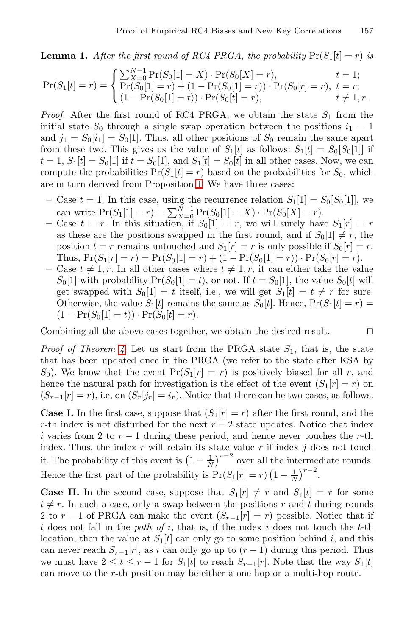**Lemma 1.** After the first round of RC4 PRGA, the probability  $Pr(S_1[t] = r)$  is

$$
\Pr(S_1[t] = r) = \begin{cases} \sum_{X=0}^{N-1} \Pr(S_0[1] = X) \cdot \Pr(S_0[X] = r), & t = 1; \\ \Pr(S_0[1] = r) + (1 - \Pr(S_0[1] = r)) \cdot \Pr(S_0[r] = r), & t = r; \\ (1 - \Pr(S_0[1] = t)) \cdot \Pr(S_0[t] = r), & t \neq 1, r. \end{cases}
$$

*Proof.* After the first round of RC4 PRGA, we obtain the state  $S_1$  from the initial state  $S_0$  through a single swap operation between the positions  $i_1 = 1$ and  $j_1 = S_0[i_1] = S_0[1]$ . Thus, all other positions of  $S_0$  remain the same apart from these two. This gives us the value of  $S_1[t]$  as follows:  $S_1[t] = S_0[S_0[1]]$  if  $t = 1, S_1[t] = S_0[1]$  if  $t = S_0[1]$ , and  $S_1[t] = S_0[t]$  in all other cases. Now, we can compute the probabilities  $Pr(S_1[t] = r)$  based on the probabilities for  $S_0$ , which are in turn derived from Proposition 1. We have three cases:

- Case  $t = 1$ . In this case, using the recurrence relation  $S_1[1] = S_0[S_0[1]]$ , we can write  $Pr(S_1[1] = r) = \sum_{X=0}^{N-1} Pr(S_0[1] = X) \cdot Pr(S_0[X] = r).$
- $-$  Case  $t = r$ . In this situation, if  $S_0[1] = r$ , we will surely have  $S_1[r] = r$ as these are the positions swapped in the first round, and if  $S_0[1] \neq r$ , the position  $t = r$  remains untouched and  $S_1[r] = r$  is only possible if  $S_0[r] = r$ . Thus,  $Pr(S_1[r] = r) = Pr(S_0[1] = r) + (1 - Pr(S_0[1] = r)) \cdot Pr(S_0[r] = r).$
- Case  $t \neq 1, r$ . In all other cases where  $t \neq 1, r$ , it can either take the value  $S_0[1]$  with probability  $Pr(S_0[1] = t)$ , or not. If  $t = S_0[1]$ , the value  $S_0[t]$  will get swapped with  $S_0[1] = t$  itself, i.e., we will get  $S_1[t] = t \neq r$  for sure. Otherwise, the value  $S_1[t]$  remains the same as  $S_0[t]$ . Hence,  $Pr(S_1[t] = r)$  =  $(1 - Pr(S_0[1] = t)) \cdot Pr(S_0[t] = r).$

Combining all the above cases together, we obtain the desired result.

*Proof of Theorem 4.* Let us start from the PRGA state  $S_1$ , that is, the state that has been updated once in the PRGA (we refer to the state after KSA by  $S_0$ ). We know that the event  $Pr(S_1[r] = r)$  is positively biased for all r, and hence the natural path for investigation is the effect of the event  $(S_1[r] = r)$  on  $(S_{r-1}[r] = r)$ , i.e, on  $(S_r[j_r] = i_r)$ . Notice that there can be two cases, as follows.

**Case I.** In the first case, suppose that  $(S_1[r] = r)$  after the first round, and the r-th index is not disturbed for the next  $r - 2$  state updates. Notice that index i varies from 2 to  $r - 1$  during these period, and hence never touches the r-th index. Thus, the index  $r$  will retain its state value  $r$  if index  $j$  does not touch it. The probability of this event is  $\left(1-\frac{1}{N}\right)^{r-2}$  over all the intermediate rounds. Hence the first part of the probability is  $Pr(S_1[r] = r) (1 - \frac{1}{N})^{r-2}$ .

**Case II.** In the second case, suppose that  $S_1[r] \neq r$  and  $S_1[t] = r$  for some  $t \neq r$ . In such a case, only a swap between the positions r and t during rounds 2 to  $r-1$  of PRGA can make the event  $(S_{r-1}[r] = r)$  possible. Notice that if t does not fall in the *path of* i, that is, if the index i does not touch the t-th location, then the value at  $S_1[t]$  can only go to some position behind i, and this can never reach  $S_{r-1}[r]$ , as i can only go up to  $(r-1)$  during this period. Thus we must have  $2 \le t \le r-1$  for  $S_1[t]$  to reach  $S_{r-1}[r]$ . Note that the way  $S_1[t]$ can move to the r-th position may be either a one hop or a multi-hop route.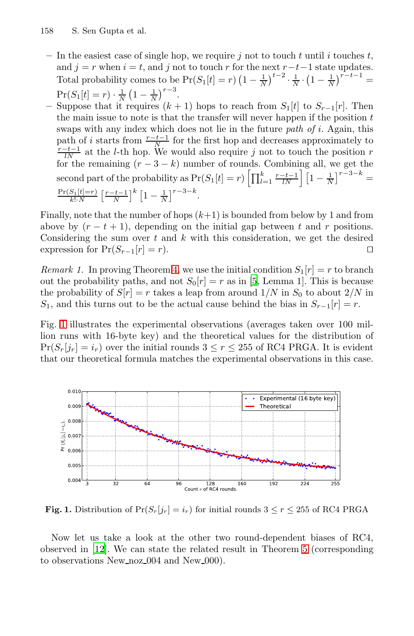- In the easiest case of single hop, we require  $j$  not to touch  $t$  until  $i$  touches  $t$ , and  $j = r$  when  $i = t$ , and j not to touch r for the next  $r-t-1$  state updates. Total probability comes to be  $Pr(S_1[t] = r) (1 - \frac{1}{N})^{t-2} \cdot \frac{1}{N} \cdot (1 - \frac{1}{N})^{r-t-1} =$  $Pr(S_1[t] = r) \cdot \frac{1}{N} (1 - \frac{1}{N})^{r-3}.$
- Suppose that it requires  $(k + 1)$  hops to reach from  $S_1[t]$  to  $S_{r-1}[r]$ . Then the main issue to note is that the transfer will never happen if the position  $t$ swaps with any index which does not lie in the future *path of* i. Again, this path of *i* starts from  $\frac{r-t-1}{N}$  for the first hop and decreases approximately to  $\frac{r-t-1}{N}$  at the *l*-th hop. We would also require *j* not to touch the position *r* for the remaining  $(r-3-k)$  number of rounds. Combining all, we get the second p[ar](#page-5-2)t of the probability as  $Pr(S_1[t] = r) \left[ \prod_{l=1}^k \frac{r-t-1}{lN} \right] \left[ 1 - \frac{1}{N} \right]^{r-3-k}$  $Pr(S_1[t]=r)$  $\frac{S_1[t]=r)}{k! \cdot N} \left[ \frac{r-t-1}{N} \right]^k \left[ 1 - \frac{1}{N} \right]^{r-3-k}.$  $\frac{S_1[t]=r)}{k! \cdot N} \left[ \frac{r-t-1}{N} \right]^k \left[ 1 - \frac{1}{N} \right]^{r-3-k}.$  $\frac{S_1[t]=r)}{k! \cdot N} \left[ \frac{r-t-1}{N} \right]^k \left[ 1 - \frac{1}{N} \right]^{r-3-k}.$

Finally, note that the number of hops  $(k+1)$  is bounded from below by 1 and from above by  $(r - t + 1)$ , depending on the initial gap between t and r positions. Considering the sum over  $t$  and  $k$  with this consideration, we get the desired expression for  $Pr(S_{r-1}[r] = r)$ .

*Remark 1.* In proving Theorem 4, we use the initial condition  $S_1[r] = r$  to branch out the probability paths, and not  $S_0[r] = r$  as in [5, Lemma 1]. This is because the probability of  $S[r] = r$  takes a leap from around  $1/N$  in  $S_0$  to about  $2/N$  in S<sub>1</sub>, and this turns out to be the actual cause behind the bias in  $S_{r-1}[r] = r$ .

Fig. 1 illustrates the experimental observations (averages taken over 100 million runs with 16-byte key) and the theoretical values for the distribution of  $Pr(S_r[j_r] = i_r)$  over the initial rounds  $3 \leq r \leq 255$  of RC4 PRGA. It is evident that our theoretical formula matches the experimental observations in this case.



**Fig. 1.** Distribution of  $Pr(S_r[j_r] = i_r)$  for initial rounds  $3 \leq r \leq 255$  of RC4 PRGA

Now let us take a look at the other two round-dependent biases of RC4, observed in [12]. We can state the related result in Theorem 5 (corresponding to observations New noz 004 and New 000.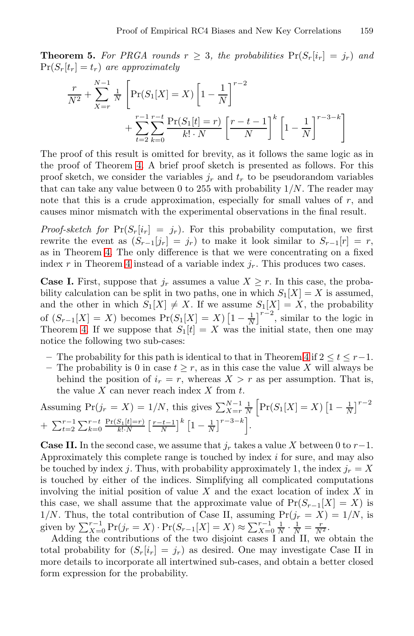**Theorem 5.** For PRGA rounds  $r \geq 3$ , the probabilities  $Pr(S_r[i_r] = j_r)$  and  $Pr(S_r[t_r] = t_r)$  *are approximately* 

$$
\frac{r}{N^2} + \sum_{X=r}^{N-1} \frac{1}{N} \left[ \Pr(S_1[X] = X) \left[ 1 - \frac{1}{N} \right]^{r-2} + \sum_{t=2}^{r-1} \sum_{k=0}^{r-t} \frac{\Pr(S_1[t] = r)}{k! \cdot N} \left[ \frac{r-t-1}{N} \right]^k \left[ 1 - \frac{1}{N} \right]^{r-3-k} \right]
$$

The proof of this result is omitted for brevity, as it follows the same logic as in the proof of Theorem 4. A brief proof sketch is presented as follows. For this p[ro](#page-5-2)of sketch, we consider the variables  $j_r$  and  $t_r$  to be pseudorandom variables that can take any value between 0 to 255 with probability  $1/N$ . The reader may note that this is a crude approximation, especially for small values of  $r$ , and causes minor mismatch with the experimental observations in the final result.

*Proof-sketch for*  $Pr(S_r[i_r] = j_r)$ . For this probability computation, we first rewrite the event as  $(S_{r-1}[j_r] = j_r)$  to make it look similar to  $S_{r-1}[r] = r$ , as in Theorem 4. The only difference is that we were concentrating on a fixed [ind](#page-5-2)ex r in Theorem 4 instead of a variable index  $j_r$ . This produces two cases.

**Case I.** First, suppose that  $j_r$  assumes a value  $X \geq r$ . In this case, the probability calculation can be split in two paths, one in which  $S_1[X] = X$  is assumed, and the other in which  $S_1[X] \neq X$ . If we assume  $S_1[X] = X$ , the probability of  $(S_{r-1}[X] = X)$  becomes  $Pr(S_1[X] = X)$   $\left[1 - \frac{1}{N}\right]^{r-2}$ , similar to the logic in Theorem 4. If we suppose that  $S_1[t] = X$  was the initial state, then one may notice the following two sub-cases:

- **–** The probability for this path is identical to that in Theorem 4 if 2 ≤ t ≤ r−1.
- The probability is 0 in case  $t \geq r$ , as in this case the value X will always be behind the position of  $i_r = r$ , whereas  $X > r$  as per assumption. That is, the value  $X$  can never reach index  $X$  from  $t$ .

Assuming 
$$
Pr(j_r = X) = 1/N
$$
, this gives  $\sum_{X=r}^{N-1} \frac{1}{N} \left[ Pr(S_1[X] = X) \left[ 1 - \frac{1}{N} \right]^{r-2} + \sum_{t=2}^{r-1} \sum_{k=0}^{r-t} \frac{Pr(S_1[t]=r)}{k!N} \left[ \frac{r-t-1}{N} \right]^k \left[ 1 - \frac{1}{N} \right]^{r-3-k} \right].$ 

**Case II.** In the second case, we assume that  $j_r$  takes a value X between 0 to  $r-1$ . Approximately this complete range is touched by index i for sure, and may also be touched by index j. Thus, with probability approximately 1, the index  $j_r = X$ is touched by either of the indices. Simplifying all complicated computations involving the initial position of value  $X$  and the exact location of index  $X$  in this case, we shall assume that the approximate value of  $Pr(S_{r-1}[X] = X)$  is  $1/N$ . Thus, the total contribution of Case II, assuming  $Pr(j_r = X) = 1/N$ , is given by  $\sum_{X=0}^{r-1} \Pr(j_r = X) \cdot \Pr(S_{r-1}[X] = X) \approx \sum_{X=0}^{r-1} \frac{1}{N} \cdot \frac{1}{N} = \frac{r}{N^2}$ .

Adding the contributions of the two disjoint cases I and II, we obtain the total probability for  $(S_r[i_r] = j_r)$  as desired. One may investigate Case II in more details to incorporate all intertwined sub-cases, and obtain a better closed form expression for the probability.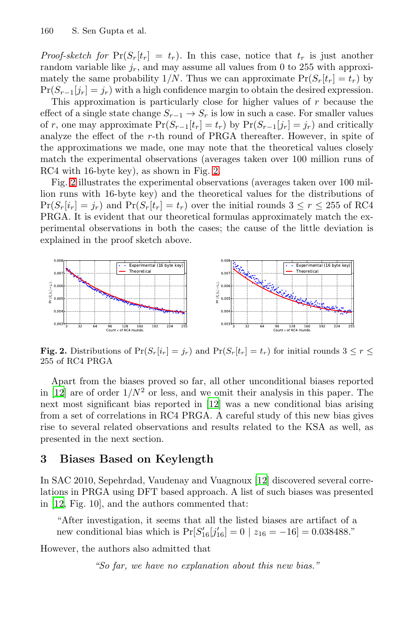*Proof-sketch for*  $Pr(S_r[t_r] = t_r)$ . In this case, notice that  $t_r$  is just another random variable like  $j_r$ , and may assume all values from 0 to 255 with approximately the same prob[ab](#page-9-0)ility  $1/N$ . Thus we can approximate  $Pr(S_r[t_r] = t_r)$  by  $Pr(S_{r-1}[j_r] = j_r)$  with a high confidence margin to obtain the desired expression.

This approximation is particularly close for higher values of  $r$  because the effect of a single state change  $S_{r-1} \to S_r$  is low in such a case. For smaller values of r, one may approximate  $Pr(S_{r-1}[t_r] = t_r)$  by  $Pr(S_{r-1}[j_r] = j_r)$  and critically analyze the effect of the r-th round of PRGA thereafter. However, in spite of the approximations we made, one may note that the theoretical values closely match the experimental observations (averages taken over 100 million runs of RC4 with 16-byte key), as shown in Fig. 2.

<span id="page-9-0"></span>Fig. 2 illustrates the experimental observations (averages taken over 100 million runs with 16-byte key) and the theoretical values for the distributions of  $Pr(S_r[i_r] = j_r)$  and  $Pr(S_r[t_r] = t_r)$  over the initial rounds  $3 \leq r \leq 255$  of RC4 PRGA. It is evident that our theoretical formulas approximately match the experimental observations in both the cases; the cause of the little deviation is explained in the proof sketch above.



**Fig. 2.** Distributions of  $Pr(S_r[i_r] = j_r)$  and  $Pr(S_r[t_r] = t_r)$  for initial rounds  $3 \leq r \leq$ 255 of RC4 PRGA

Apart from the biases proved so far, all other unconditional biases reported in [12] are of order  $1/N^2$  or less[, an](#page-17-1)d we omit their analysis in this paper. The next most significant bias reported in [12] was a new conditional bias arising from a set of correlations in RC4 PRGA. A careful study of this new bias gives rise to several related observations and results related to the KSA as well, as presented in the next section.

# **3 Biases Based on Keylength**

In SAC 2010, Sepehrdad, Vaudenay and Vuagnoux [12] discovered several correlations in PRGA using DFT based approach. A list of such biases was presented in [12, Fig. 10], and the authors commented that:

"After investigation, it seems that all the listed biases are artifact of a new conditional bias which is  $Pr[S'_{16}[j'_{16}] = 0 | z_{16} = -16] = 0.038488$ ."

However, the authors also admitted that

*"So far, we have no explanation about this new bias."*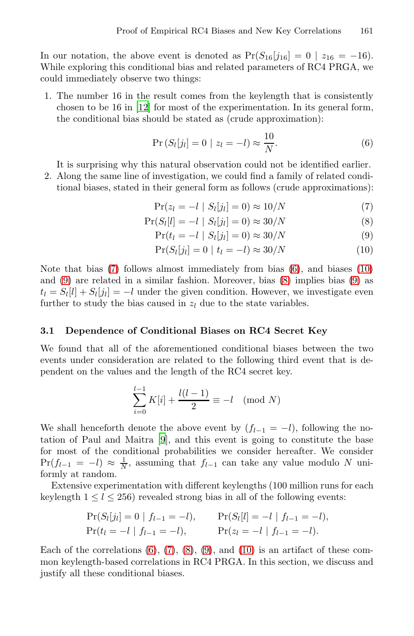In our notation, the above event is denoted as  $Pr(S_{16}[j_{16}]=0 \mid z_{16} = -16)$ . While exploring this conditional bias and related parameters of RC4 PRGA, we could immediately observe two things:

1. The number 16 in the result comes from the keylength that is consistently chosen to be 16 in [12] for most of the experimentation. In its general form, the conditional bias should be stated as (crude approximation):

<span id="page-10-1"></span><span id="page-10-0"></span>
$$
Pr(S_l[j_l] = 0 \mid z_l = -l) \approx \frac{10}{N}.
$$
\n
$$
(6)
$$

It is surprising why this natural observation could not be identified earlier. 2. Along the same line of investigation, [we](#page-10-0) could find a f[am](#page-10-1)ily of related condi-

tional biases, stated in their gener[al f](#page-10-1)orm as follows [\(c](#page-10-1)rude approximations):

$$
\Pr(z_l = -l \mid S_l[j_l] = 0) \approx 10/N \tag{7}
$$

$$
Pr(S_l[l] = -l | S_l[j_l] = 0) \approx 30/N \tag{8}
$$

$$
Pr(t_l = -l | S_l[j_l] = 0) \approx 30/N \tag{9}
$$

$$
Pr(S_l[j_l] = 0 \mid t_l = -l) \approx 30/N \tag{10}
$$

Note that bias (7) follows almost immediately from bias (6), and biases (10) and (9) are related in a similar fashion. Moreover, bias (8) implies bias (9) as  $t_l = S_l[l] + S_l[j_l] = -l$  under the given condition. However, we investigate even further to study the bias caused in  $z_l$  due to the state variables.

### **3.1 Dependence of Conditional Biases on RC4 Secret Key**

We foun[d](#page-17-7) that all of the aforementioned conditional biases between the two events under consideration are related to the following third event that is dependent on the values and the length of the RC4 secret key.

$$
\sum_{i=0}^{l-1} K[i] + \frac{l(l-1)}{2} \equiv -l \pmod{N}
$$

We shall henceforth denote the above event by  $(f_{l-1} = -l)$ , following the notation of Paul and Maitra [9], and this event is going to constitute the base for most of the conditional probabilities we consider hereafter. We consider  $Pr(f_{l-1} = -l) \approx \frac{1}{N}$  $Pr(f_{l-1} = -l) \approx \frac{1}{N}$  $Pr(f_{l-1} = -l) \approx \frac{1}{N}$ [,](#page-10-1) assu[ming](#page-10-1) that  $f_{l-1}$  can take any value modulo N uniformly at random.

Extensive experimentation with different keylengths (100 million runs for each keylength  $1 \leq l \leq 256$ ) revealed strong bias in all of the following events:

$$
\Pr(S_l[j_l] = 0 \mid f_{l-1} = -l), \qquad \Pr(S_l[l] = -l \mid f_{l-1} = -l), \n\Pr(t_l = -l \mid f_{l-1} = -l), \qquad \Pr(z_l = -l \mid f_{l-1} = -l).
$$

Each of the correlations  $(6)$ ,  $(7)$ ,  $(8)$ ,  $(9)$ , and  $(10)$  is an artifact of these common keylength-based correlations in RC4 PRGA. In this section, we discuss and justify all these conditional biases.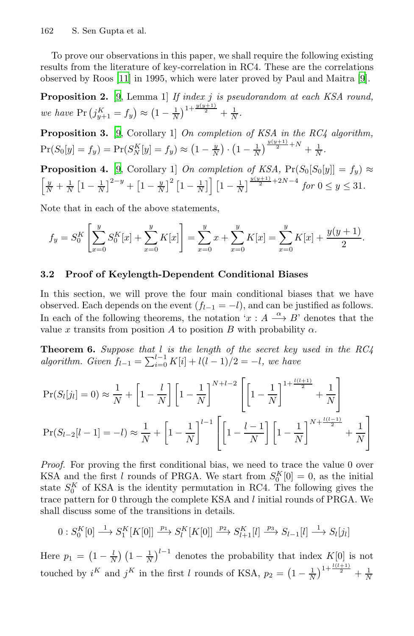<span id="page-11-1"></span>To prove our observations in this paper, we shall require the following existing results from the literature of key-correlation in RC4. These are the correlations [o](#page-17-7)bserved by Roos [11] in 1995, which were later proved by Paul and Maitra [9].

<span id="page-11-2"></span>**Proposition 2.** [9, Lemma 1] *If index* j *is pseudorandom at each KSA round, we have*  $Pr(j_{y+1}^K = f_y) \approx (1 - \frac{1}{N})^{1 + \frac{y(y+1)}{2}} + \frac{1}{N}$ .

**Proposition 3.** [9, Corollary 1] *On completion of KSA in the RC4 algorithm,*  $\Pr(S_0[y] = f_y) = \Pr(S_N^K[y] = f_y) \approx \left(1 - \frac{y}{N}\right) \cdot \left(1 - \frac{1}{N}\right)^{\frac{y(y+1)}{2} + N} + \frac{1}{N}.$ 

<span id="page-11-0"></span>**Proposition 4.** [9, Corollary 1] *On completion of KSA*,  $Pr(S_0[S_0[y]] = f_y) \approx$  $\left[\frac{y}{N} + \frac{1}{N}\left[1 - \frac{1}{N}\right]^{2-y} + \left[1 - \frac{y}{N}\right]^2 \left[1 - \frac{1}{N}\right] \right] \left[1 - \frac{1}{N}\right]^{\frac{y(y+1)}{2} + 2N - 4}$  for  $0 \le y \le 31$ .

Note that in each of the above statements,

$$
f_y = S_0^K \left[ \sum_{x=0}^y S_0^K[x] + \sum_{x=0}^y K[x] \right] = \sum_{x=0}^y x + \sum_{x=0}^y K[x] = \sum_{x=0}^y K[x] + \frac{y(y+1)}{2}.
$$

### **3.2 Proof of Keylength-Dependent Conditional Biases**

In this section, we will prove the four main conditional biases that we have observed. Each depends on the event  $(f_{l-1} = -l)$ , and can be justified as follows. In each of the following theorems, the notation ' $x : A \longrightarrow B'$  denotes that the value x transits from position A to position B with probability  $\alpha$ .

**Theorem 6.** *Suppose that* l *is the length of the secret key used in the RC4 algorithm. Given*  $f_{l-1} = \sum_{i=0}^{l-1} K[i] + l(l-1)/2 = -l$ , we have

$$
\Pr(S_l[j_l] = 0) \approx \frac{1}{N} + \left[1 - \frac{l}{N}\right] \left[1 - \frac{1}{N}\right]^{N+l-2} \left[\left[1 - \frac{1}{N}\right]^{1 + \frac{l(l+1)}{2}} + \frac{1}{N}\right]
$$

$$
\Pr(S_{l-2}[l-1] = -l) \approx \frac{1}{N} + \left[1 - \frac{1}{N}\right]^{l-1} \left[\left[1 - \frac{l-1}{N}\right] \left[1 - \frac{1}{N}\right]^{N + \frac{l(l-1)}{2}} + \frac{1}{N}\right]
$$

*Proof.* For proving the first conditional bias, we need to trace the value 0 over KSA and the first l rounds of PRGA. We start from  $S_0^K[0] = 0$ , as the initial state  $S_0^K$  of KSA is the identity permutation in RC4. The following gives the trace pattern for 0 through the complete KSA and l initial rounds of PRGA. We shall discuss some of the transitions in details.

$$
0: S_0^K[0] \xrightarrow{1} S_1^K[K[0]] \xrightarrow{p_1} S_l^K[K[0]] \xrightarrow{p_2} S_{l+1}^K[l] \xrightarrow{p_3} S_{l-1}[l] \xrightarrow{1} S_l[j_l]
$$

Here  $p_1 = \left(1 - \frac{l}{N}\right) \left(1 - \frac{1}{N}\right)^{l-1}$  denotes the probability that index  $K[0]$  is not touched by  $i^K$  and  $j^K$  in the first l rounds of KSA,  $p_2 = \left(1 - \frac{1}{N}\right)^{1 + \frac{l(l+1)}{2}} + \frac{1}{N}$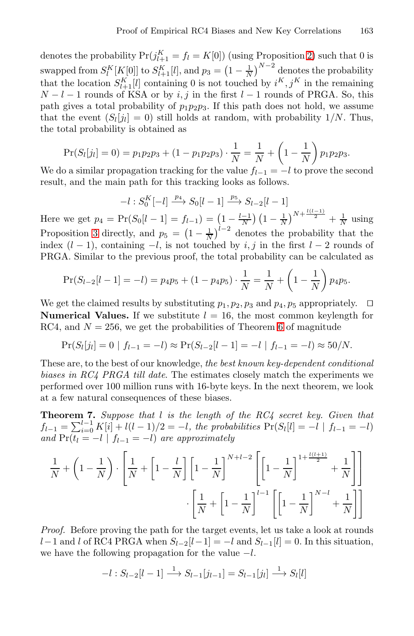denotes the probability  $Pr(j_{l+1}^K = f_l = K[0])$  (using Proposition 2) such that 0 is swapped from  $S_l^K[K[0]]$  to  $S_{l+1}^K[l]$ , and  $p_3 = \left(1 - \frac{1}{N}\right)^{N-2}$  denotes the probability that the location  $S_{l+1}^K[l]$  containing 0 is not touched by  $i^K, j^K$  in the remaining  $N - l - 1$  rounds of KSA or by i, j in the first  $l - 1$  rounds of PRGA. So, this path gives a total probability of  $p_1p_2p_3$ . If this path does not hold, we assume that the event  $(S_l[j_l] = 0)$  still holds at random, with probability 1/N. Thus, the total probability is obtained as

$$
Pr(S_l[j_l] = 0) = p_1 p_2 p_3 + (1 - p_1 p_2 p_3) \cdot \frac{1}{N} = \frac{1}{N} + \left(1 - \frac{1}{N}\right) p_1 p_2 p_3.
$$

We do a similar propagation tracking for the value  $f_{l-1} = -l$  to prove the second result, and the main path for this tracking looks as follows.

$$
-l:S_0^K[-l]\xrightarrow{p_4}S_0[l-1]\xrightarrow{p_5}S_{l-2}[l-1]
$$

<span id="page-12-0"></span>Here we get  $p_4 = \Pr(S_0[l-1] = f_{l-1}) = \left(1 - \frac{l-1}{N}\right) \left(1 - \frac{1}{N}\right)^{N + \frac{l(l-1)}{2}} + \frac{1}{N}$  using Proposition 3 directly, and  $p_5 = \left(1 - \frac{1}{N}\right)^{l-2}$  denotes the probability that the index  $(l-1)$ , containing  $-l$ , is not touched by i, j in the first  $l-2$  rounds of PRGA. Similar to the previous proof, the total probability can be calculated as

$$
Pr(S_{l-2}[l-1] = -l) = p_4 p_5 + (1 - p_4 p_5) \cdot \frac{1}{N} = \frac{1}{N} + \left(1 - \frac{1}{N}\right) p_4 p_5.
$$

We get the claimed results by substituting  $p_1, p_2, p_3$  and  $p_4, p_5$  appropriately.  $\Box$ **Numerical Values.** If we substitute  $l = 16$ , the most common keylength for RC4, and  $N = 256$ , we get the probabilities of Theorem 6 of magnitude

$$
Pr(S_l[j_l] = 0 | f_{l-1} = -l) \approx Pr(S_{l-2}[l-1] = -l | f_{l-1} = -l) \approx 50/N.
$$

These are, to the best of our knowledge, *the best known key-dependent conditional biases in RC4 PRGA till date*. The estimates closely match the experiments we performed over 100 million runs with 16-byte keys. In the next theorem, we look at a few natural consequences of these biases.

**Theorem 7.** *Suppose that* l *is the length of the RC4 secret key. Given that*  $f_{l-1} = \sum_{i=0}^{l-1} K[i] + l(l-1)/2 = -l$ , the probabilities  $Pr(S_l[i] = -l | f_{l-1} = -l)$ *and*  $Pr(t_l = -l \mid f_{l-1} = -l)$  *are approximately* 

$$
\frac{1}{N} + \left(1 - \frac{1}{N}\right) \cdot \left[\frac{1}{N} + \left[1 - \frac{l}{N}\right] \left[1 - \frac{1}{N}\right]^{N+l-2} \left[\left[1 - \frac{1}{N}\right]^{1 + \frac{l(l+1)}{2}} + \frac{1}{N}\right]\right]
$$

$$
\cdot \left[\frac{1}{N} + \left[1 - \frac{1}{N}\right]^{l-1} \left[\left[1 - \frac{1}{N}\right]^{N-l} + \frac{1}{N}\right]\right]
$$

*Proof.* Before proving the path for the target events, let us take a look at rounds l−1 and l of RC4 PRGA when  $S_{l-2}[l-1] = -l$  and  $S_{l-1}[l] = 0$ . In this situation, we have the following propagation for the value  $-l$ .

$$
-l: S_{l-2}[l-1] \xrightarrow{1} S_{l-1}[j_{l-1}] = S_{l-1}[j_l] \xrightarrow{1} S_l[l]
$$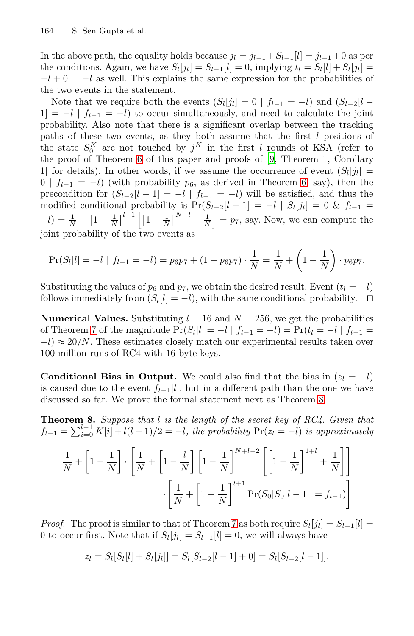In the above path, the equality holds because  $j_l = j_{l-1} + S_{l-1}[l] = j_{l-1} + 0$  as per the [co](#page-11-0)nditions. Again, we have  $S_l[j_l] = S_{l-1}[l] = 0$  $S_l[j_l] = S_{l-1}[l] = 0$  $S_l[j_l] = S_{l-1}[l] = 0$ , implying  $t_l = S_l[l] + S_l[j_l] =$  $-l+0=-l$  as well. This explains the same expression for the probabilities of the two events in the statement.

Note that we require both the events  $(S_l[j_l]=0 | f_{l-1}=-l)$  $(S_l[j_l]=0 | f_{l-1}=-l)$  $(S_l[j_l]=0 | f_{l-1}=-l)$  and  $(S_{l-2}[l -1]$  $1$ ] = −l |  $f_{l-1}$  = −l) to occur simultaneously, and need to calculate the joint probability. Also note that there is a significant overlap between the tracking paths of these two events, as they both assume that the first  $l$  positions of the state  $S_0^K$  are not touched by  $j^K$  in the first l rounds of KSA (refer to the proof of Theorem 6 of this paper and proofs of [9, Theorem 1, Corollary 1] for details). In other words, if we assume the occurrence of event  $(S_l[j_l])$  $0 | f_{l-1} = -l$ ) (with probability  $p_6$ , as derived in Theorem 6, say), then the precondition for  $(S_{l-2}[l-1] = -l | f_{l-1} = -l)$  will be satisfied, and thus the modified conditional probability is  $Pr(S_{l-2}[l-1] = -l | S_l[j_l] = 0 \& f_{l-1} =$  $-l$ ) =  $\frac{1}{N} + \left[1 - \frac{1}{N}\right]^{l-1} \left[\left[1 - \frac{1}{N}\right]^{N-l} + \frac{1}{N}\right] = p_7$ , say. Now, we can compute the joint probability of the two events as

<span id="page-13-0"></span>
$$
\Pr(S_l[l] = -l \mid f_{l-1} = -l) = p_6 p_7 + (1 - p_6 p_7) \cdot \frac{1}{N} = \frac{1}{N} + \left(1 - \frac{1}{N}\right) \cdot p_6 p_7.
$$

Substituting the values of  $p_6$  and  $p_7$ , we obtain the desired result. Event  $(t_l = -l)$ follows immediately from  $(S_l[l] = -l)$ , with the same conditional probability.  $\Box$ 

**[N](#page-13-0)umerical Values.** Substituting  $l = 16$  and  $N = 256$ , we get the probabilities of Theorem 7 of the magnitude  $Pr(S_l[i] = -l | f_{l-1} = -l) = Pr(t_l = -l | f_{l-1} =$  $-l \approx 20/N$ . These estimates closely match our experimental results taken over 100 million runs of RC4 with 16-byte keys.

**Conditional Bias in Output.** We could also find that the bias in  $(z_l = -l)$ is caused due to the event  $f_{l-1}[l]$ , but in a different path than the one we have discussed so far. We prove the formal statement next as Theorem 8.

**Theorem 8.** *Suppose that* l *is the length of the secret key of RC4. Given that*  $f_{l-1} = \sum_{i=0}^{l-1} K[i] + l(l-1)/2 = -l$  $f_{l-1} = \sum_{i=0}^{l-1} K[i] + l(l-1)/2 = -l$  $f_{l-1} = \sum_{i=0}^{l-1} K[i] + l(l-1)/2 = -l$ , the probability  $Pr(z_l = -l)$  is approximately

$$
\frac{1}{N} + \left[1 - \frac{1}{N}\right] \cdot \left[\frac{1}{N} + \left[1 - \frac{l}{N}\right] \left[1 - \frac{1}{N}\right]^{N+l-2} \left[\left[1 - \frac{1}{N}\right]^{1+l} + \frac{1}{N}\right]\right]
$$

$$
\cdot \left[\frac{1}{N} + \left[1 - \frac{1}{N}\right]^{l+1} \Pr(S_0[S_0[l-1]] = f_{l-1})\right]
$$

*Proof.* The proof is similar to that of Theorem 7 as both require  $S_l[j_l] = S_{l-1}[l]$ 0 to occur first. Note that if  $S_l[j_l] = S_{l-1}[l] = 0$ , we will always have

$$
z_l = S_l[S_l[l] + S_l[j_l]] = S_l[S_{l-2}[l-1] + 0] = S_l[S_{l-2}[l-1]].
$$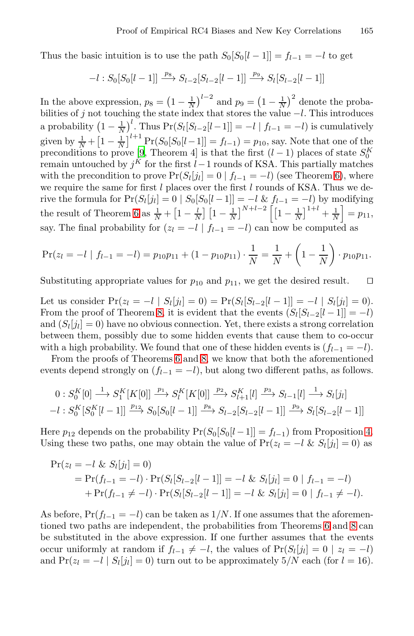Thu[s t](#page-17-7)he basic intuition is to use the path  $S_0[S_0[l-1]] = f_{l-1} = -l$  to get

$$
-l: S_0[S_0[l-1]] \xrightarrow{p_8} S_{l-2}[S_{l-2}[l-1]] \xrightarrow{p_9} S_l[S_{l-2}[l-1]]
$$

In the above expression,  $p_8 = \left(1 - \frac{1}{N}\right)^{l-2}$  and  $p_9 = \left(1 - \frac{1}{N}\right)^2$  denote the probabilities of j not touching the state index that stores the value  $-l$ . This introduces a p[ro](#page-11-0)bability  $\left(1 - \frac{1}{N}\right)^l$ . Thus  $Pr(S_l[S_{l-2}[l-1]] = -l | f_{l-1} = -l)$  is cumulatively given by  $\frac{1}{N} + \left[1 - \frac{1}{N}\right]^{l+1} \Pr(S_0[S_0[l-1]] = f_{l-1}) = p_{10}$ , say. Note that one of the preconditions to prove [9, Theorem 4] is that the first  $(l-1)$  places of state  $S_0^K$  remain untouched by  $j^K$  for the first  $l-1$  rounds of KSA. This partially matches with the precondition to prove  $Pr(S_l[j_l]=0 | f_{l-1}=-l)$  (see Theorem 6), where we require the same for first  $l$  places over the first  $l$  rounds of KSA. Thus we derive the formula for  $Pr(S_l[j_l]=0 | S_0[S_0[l-1]]=-l \& f_{l-1}=-l)$  by modifying the result of Theorem 6 as  $\frac{1}{N} + \left[1 - \frac{l}{N}\right] \left[1 - \frac{1}{N}\right]^{N+l-2} \left[\left[1 - \frac{1}{N}\right]^{1+l} + \frac{1}{N}\right] = p_{11}$ say. The [fi](#page-13-0)nal probability for  $(z_l = -l \mid f_{l-1} = -l)$  can now be computed as

$$
\Pr(z_l = -l \mid f_{l-1} = -l) = p_{10}p_{11} + (1 - p_{10}p_{11}) \cdot \frac{1}{N} = \frac{1}{N} + \left(1 - \frac{1}{N}\right) \cdot p_{10}p_{11}.
$$

Substituting appropriate values for  $p_{10}$  and  $p_{11}$ , we get the desired result.  $\square$ 

Let us consider  $Pr(z_l = -l | S_l[j_l] = 0) = Pr(S_l[S_{l-2}[l-1]] = -l | S_l[j_l] = 0).$ From the proof of Theorem 8, it is evident that the events  $(S_l[S_{l-2}[l-1]] = -l)$ and  $(S_l[i_l] = 0)$  have no obvious connection. Yet, there exists a strong correlation between them, possibly due to some hidden events that cause them to co-occur with a high probability. We found that one of these hidden [ev](#page-11-1)ents is  $(f_{l-1} = -l)$ .

From the proofs of Theorems 6 and 8, we know that both the aforementioned events depend strongly on  $(f_{l-1} = -l)$ , but along two different paths, as follows.

$$
0: S_0^K[0] \xrightarrow{1} S_1^K[K[0]] \xrightarrow{p_1} S_l^K[K[0]] \xrightarrow{p_2} S_{l+1}^K[l] \xrightarrow{p_3} S_{l-1}[l] \xrightarrow{1} S_l[j_l]
$$
  

$$
-l: S_0^K[S_0^K[l-1]] \xrightarrow{p_{12}} S_0[S_0[l-1]] \xrightarrow{p_8} S_{l-2}[S_{l-2}[l-1]] \xrightarrow{p_9} S_l[S_{l-2}[l-1]]
$$

Here  $p_{12}$  depends on the probabi[l](#page-13-0)ity  $Pr(S_0[S_0[l-1]] = f_{l-1})$  $Pr(S_0[S_0[l-1]] = f_{l-1})$  $Pr(S_0[S_0[l-1]] = f_{l-1})$  from Proposition 4. Using these two paths, one may obtain the value of  $Pr(z_l = -l \& S_l[j_l] = 0)$  as

$$
\begin{aligned} \Pr(z_l &= -l \ \& S_l[j_l] = 0) \\ &= \Pr(f_{l-1} = -l) \cdot \Pr(S_l[S_{l-2}[l-1]] = -l \ \& S_l[j_l] = 0 \mid f_{l-1} = -l) \\ &+ \Pr(f_{l-1} \neq -l) \cdot \Pr(S_l[S_{l-2}[l-1]] = -l \ \& S_l[j_l] = 0 \mid f_{l-1} \neq -l). \end{aligned}
$$

As before,  $Pr(f_{l-1} = -l)$  can be taken as  $1/N$ . If one assumes that the aforementioned two paths are independent, the probabilities from Theorems 6 and 8 can be substituted in the above expression. If one further assumes that the events occur uniformly at random if  $f_{l-1} \neq -l$ , the values of  $Pr(S_l[j_l]=0 \mid z_l = -l)$ and  $Pr(z_l = -l | S_l[j_l] = 0)$  turn out to be approximately  $5/N$  each (for  $l = 16$ ).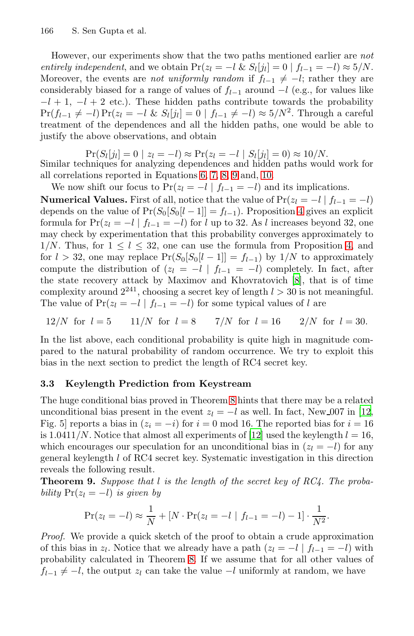However, our experiments show that the two paths mentioned earlier are *not entirely independent*, and we obtain  $Pr(z_l = -l \& S_l[j_l] = 0 | f_{l-1} = -l) \approx 5/N$ . Moreover, the events are *not uniformly random* if  $f_{l-1} \neq -l$ ; rather they are consi[d](#page-10-0)erably biased [f](#page-10-1)[or](#page-10-1) [a](#page-10-1) [ran](#page-10-1)ge of [va](#page-10-1)lues of  $f_{l-1}$  around  $-l$  (e.g., for values like  $-l + 1$ ,  $-l + 2$  etc.). These hidden paths contribute towards the probability  $Pr(f_{l-1} \neq -l) Pr(z_l = -l \& S_l[j_l] = 0 | f_{l-1} \neq -l) \approx 5/N^2$ . Through a careful treatment of the dependences and all the [h](#page-11-1)idden paths, one would be able to justify the above observations, and obtain

 $Pr(S_l[j_l]=0 | z_l = -l) \approx Pr(z_l = -l | S_l[j_l]=0) \approx 10/N.$ Similar techniques for analyzing dependences and hidden paths would work for all correlations reported in Equations 6, 7, 8, 9 and, 10.

We now shi[f](#page-17-11)t our focus to  $Pr(z_l = -l \mid f_{l-1} = -l)$  and its implications.

**Numerical Values.** First of all, notice that the value of  $Pr(z_l = -l | f_{l-1} = -l)$ depends on the value of  $Pr(S_0[S_0[t-1]] = f_{l-1})$ . Proposition 4 gives an explicit formula for  $Pr(z_l = -l \mid f_{l-1} = -l)$  for l up to 32. As l increases beyond 32, one may check by experimentation that this probability converges approximately to  $1/N$ . Thus, for  $1 \leq l \leq 32$ , one can use the formula from Proposition 4, and for  $l > 32$ , one may replace  $Pr(S_0[S_0[l-1]] = f_{l-1})$  by  $1/N$  to approximately compute the distribution of  $(z_l = -l \mid f_{l-1} = -l)$  completely. In fact, after the state recovery attack by Maximov and Khovratovich [8], that is of time complexity around  $2^{241}$ , choosing a secret key of length  $l > 30$  is not meaningful. The value o[f](#page-13-0)  $Pr(z_l = -l \mid f_{l-1} = -l)$  for some typical values of l are

<span id="page-15-0"></span>12/N for 
$$
l = 5
$$
 11/N for  $l = 8$  7/N for  $l = 16$  2/N for  $l = 30$ .

In the list above, each conditi[ona](#page-17-1)l probability is quite high in magnitude compared to the natural probability of random occurrence. We try to exploit this bias in the next section to predict the length of RC4 secret key.

### **3.3 Keylength Prediction from Keystream**

The huge conditional bias proved in Theorem 8 hints that there may be a related unconditional bias present in the event  $z_l = -l$  as well. In fact, New 007 in [12, Fig. 5] reports a bias in  $(z_i = -i)$  for  $i = 0 \mod 16$ . The reported bias for  $i = 16$ is 1.0411/N. Notice that almost all experiments of [12] used the keylength  $l = 16$ , which encourages our speculation for an unconditional bias in  $(z_l = -l)$  for any general keylength l of RC4 secret key. Systematic investigation in this direction reveals the follo[wi](#page-13-0)ng result.

**Theorem 9.** *Suppose that* l *is the length of the secret key of RC4. The probability*  $Pr(z_l = -l)$  *is given by* 

$$
\Pr(z_l = -l) \approx \frac{1}{N} + [N \cdot \Pr(z_l = -l \mid f_{l-1} = -l) - 1] \cdot \frac{1}{N^2}.
$$

*Proof.* We provide a quick sketch of the proof to obtain a crude approximation of this bias in  $z_l$ . Notice that we already have a path  $(z_l = -l \mid f_{l-1} = -l)$  with probability calculated in Theorem 8. If we assume that for all other values of  $f_{l-1} \neq -l$ , the output  $z_l$  can take the value  $-l$  uniformly at random, we have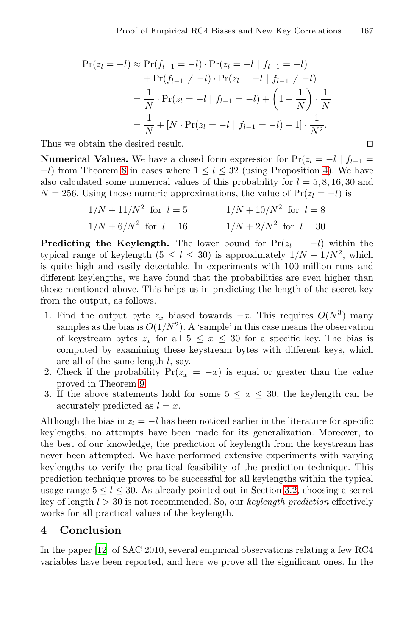$$
\Pr(z_l = -l) \approx \Pr(f_{l-1} = -l) \cdot \Pr(z_l = -l \mid f_{l-1} = -l) \n+ \Pr(f_{l-1} \neq -l) \cdot \Pr(z_l = -l \mid f_{l-1} \neq -l) \n= \frac{1}{N} \cdot \Pr(z_l = -l \mid f_{l-1} = -l) + \left(1 - \frac{1}{N}\right) \cdot \frac{1}{N} \n= \frac{1}{N} + [N \cdot \Pr(z_l = -l \mid f_{l-1} = -l) - 1] \cdot \frac{1}{N^2}.
$$

Thus we obtain the desired result.

**Numerical Values.** We have a closed form expression for  $Pr(z_l = -l \mid f_{l-1})$  $-l$ ) from Theorem 8 in cases where  $1 \leq l \leq 32$  (using Proposition 4). We have also calculated some numerical values of this probability for  $l = 5, 8, 16, 30$  and  $N = 256$ . Using those numeric approximations, the value of Pr( $z<sub>l</sub> = -l$ ) is

$$
1/N + 11/N^2
$$
 for  $l = 5$   $1/N + 10/N^2$  for  $l = 8$   
 $1/N + 6/N^2$  for  $l = 16$   $1/N + 2/N^2$  for  $l = 30$ 

**Predicting the Keylength.** The lower bound for  $Pr(z_l = -l)$  within the typical range of keylength  $(5 < l < 30)$  is approximately  $1/N + 1/N^2$ , which is quite high and easily detectable. In experiments with 100 million runs and different keylengths, we have found that the probabilities are even higher than thos[e m](#page-15-0)entioned above. This helps us in predicting the length of the secret key from the output, as follows.

- 1. Find the output byte  $z_x$  biased towards  $-x$ . This requires  $O(N^3)$  many samples as the bias is  $O(1/N^2)$ . A 'sample' in this case means the observation of keystream bytes  $z_x$  for all  $5 \le x \le 30$  for a specific key. The bias is computed by examining these keystream bytes with different keys, which are all of the same length  $l$ , say.
- 2. Check if the probability  $Pr(z_x = -x)$  is equal or greater than the value proved in Theorem 9.
- 3. If the above statements hold for s[ome](#page-11-2)  $5 \leq x \leq 30$ , the keylength can be accurately predicted as  $l = x$ .

Although the bias in  $z_l = -l$  has been noticed earlier in the literature for specific keylengths, no attempts have been made for its generalization. Moreover, to the best of our knowledge, the prediction of keylength from the keystream has never been attempted. We have performed extensive experiments with varying keylengths to verify the practical feasibility of the prediction technique. This prediction technique proves to be successful for all keylengths within the typical usage range  $5 \leq l \leq 30$ . As already pointed out in Section 3.2, choosing a secret key of length l > 30 is not recommended. So, our *keylength prediction* effectively works for all practical values of the keylength.

### **4 Conclusion**

In the paper [12] of SAC 2010, several empirical observations relating a few RC4 variables have been reported, and here we prove all the significant ones. In the